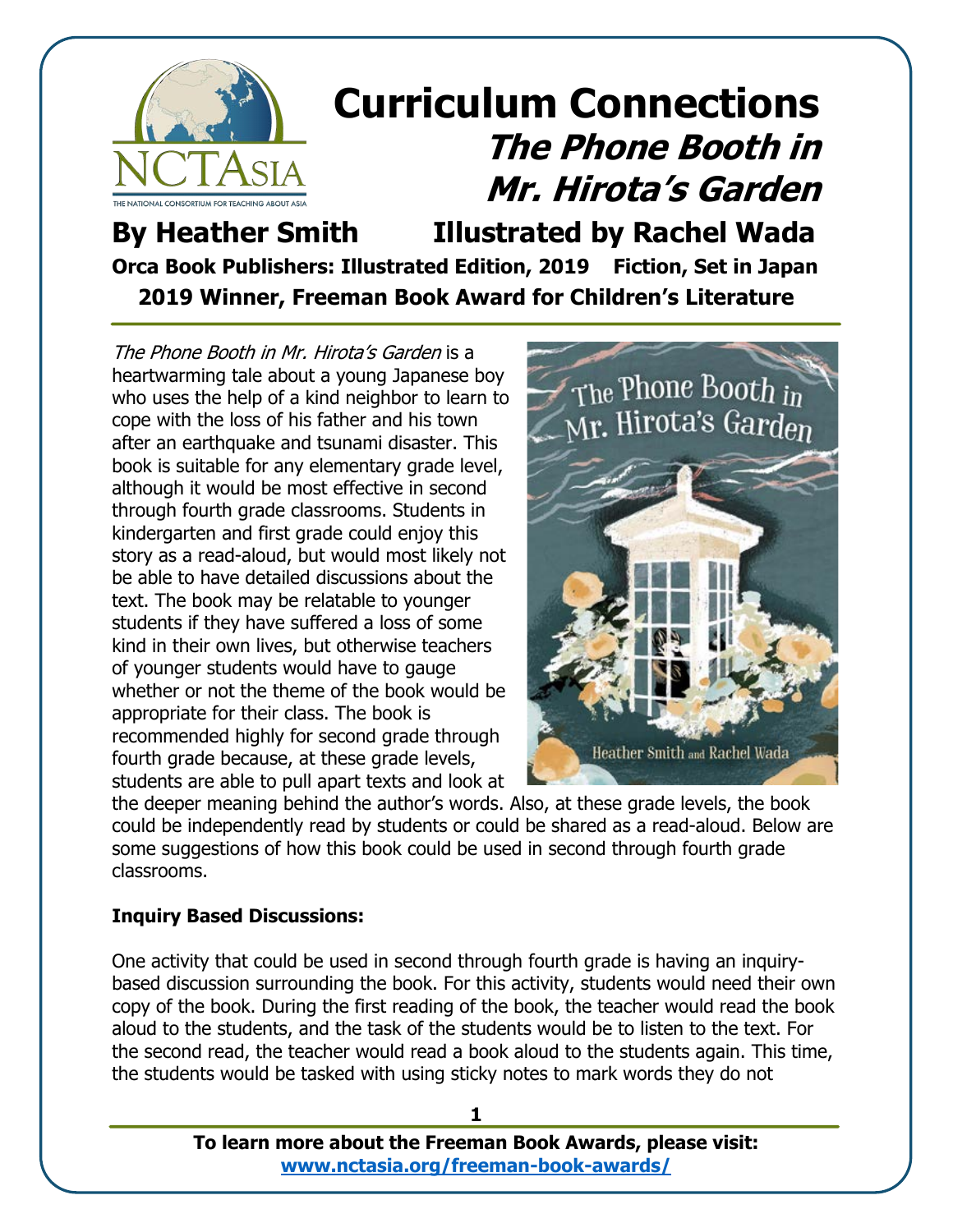

**By Heather Smith Illustrated by Rachel Wada Orca Book Publishers: Illustrated Edition, 2019 Fiction, Set in Japan 2019 Winner, Freeman Book Award for Children's Literature**

The Phone Booth in Mr. Hirota's Garden is a heartwarming tale about a young Japanese boy who uses the help of a kind neighbor to learn to cope with the loss of his father and his town after an earthquake and tsunami disaster. This book is suitable for any elementary grade level, although it would be most effective in second through fourth grade classrooms. Students in kindergarten and first grade could enjoy this story as a read-aloud, but would most likely not be able to have detailed discussions about the text. The book may be relatable to younger students if they have suffered a loss of some kind in their own lives, but otherwise teachers of younger students would have to gauge whether or not the theme of the book would be appropriate for their class. The book is recommended highly for second grade through fourth grade because, at these grade levels, students are able to pull apart texts and look at



the deeper meaning behind the author's words. Also, at these grade levels, the book could be independently read by students or could be shared as a read-aloud. Below are some suggestions of how this book could be used in second through fourth grade classrooms.

#### **Inquiry Based Discussions:**

One activity that could be used in second through fourth grade is having an inquirybased discussion surrounding the book. For this activity, students would need their own copy of the book. During the first reading of the book, the teacher would read the book aloud to the students, and the task of the students would be to listen to the text. For the second read, the teacher would read a book aloud to the students again. This time, the students would be tasked with using sticky notes to mark words they do not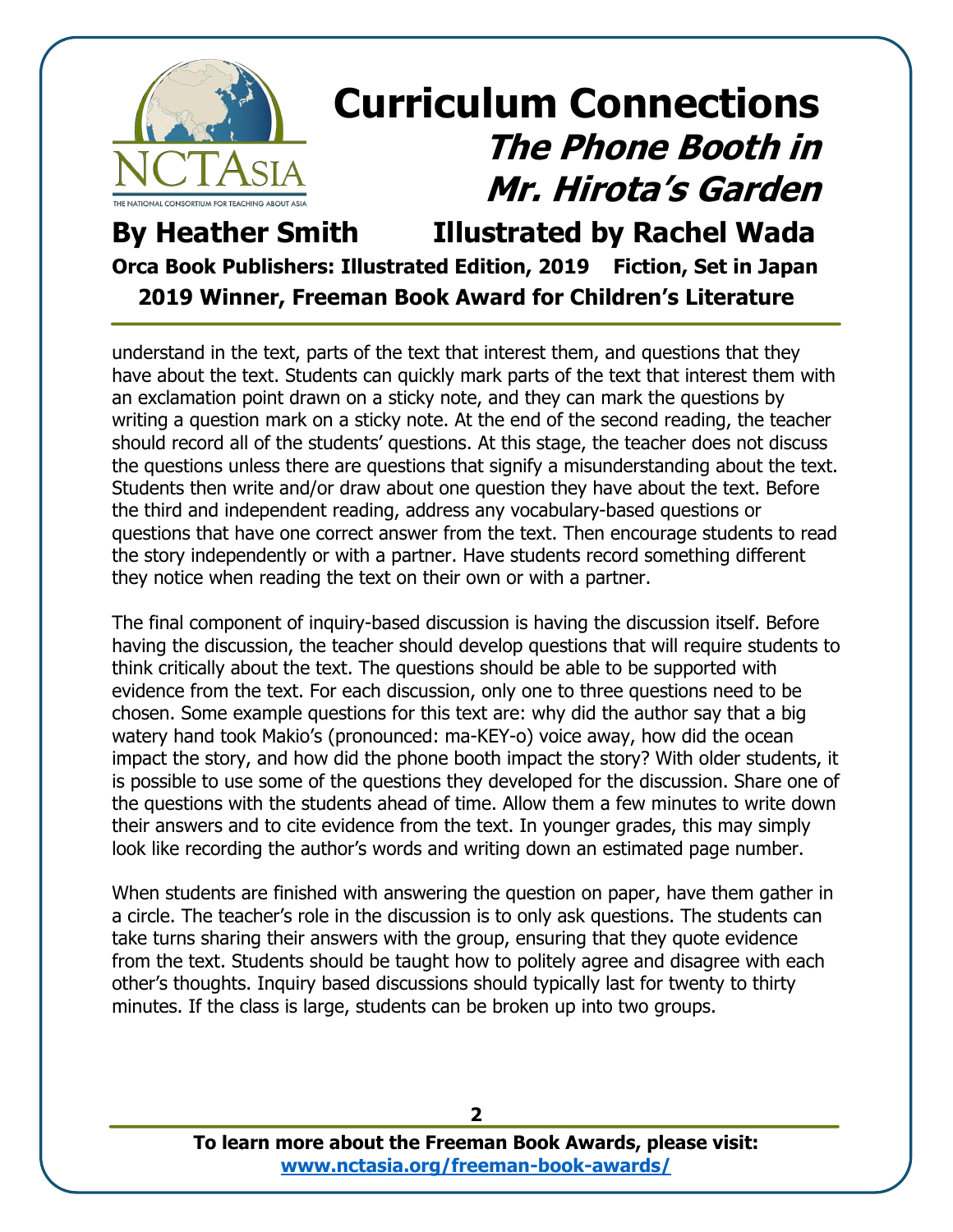

**By Heather Smith Illustrated by Rachel Wada Orca Book Publishers: Illustrated Edition, 2019 Fiction, Set in Japan 2019 Winner, Freeman Book Award for Children's Literature**

understand in the text, parts of the text that interest them, and questions that they have about the text. Students can quickly mark parts of the text that interest them with an exclamation point drawn on a sticky note, and they can mark the questions by writing a question mark on a sticky note. At the end of the second reading, the teacher should record all of the students' questions. At this stage, the teacher does not discuss the questions unless there are questions that signify a misunderstanding about the text. Students then write and/or draw about one question they have about the text. Before the third and independent reading, address any vocabulary-based questions or questions that have one correct answer from the text. Then encourage students to read the story independently or with a partner. Have students record something different they notice when reading the text on their own or with a partner.

The final component of inquiry-based discussion is having the discussion itself. Before having the discussion, the teacher should develop questions that will require students to think critically about the text. The questions should be able to be supported with evidence from the text. For each discussion, only one to three questions need to be chosen. Some example questions for this text are: why did the author say that a big watery hand took Makio's (pronounced: ma-KEY-o) voice away, how did the ocean impact the story, and how did the phone booth impact the story? With older students, it is possible to use some of the questions they developed for the discussion. Share one of the questions with the students ahead of time. Allow them a few minutes to write down their answers and to cite evidence from the text. In younger grades, this may simply look like recording the author's words and writing down an estimated page number.

When students are finished with answering the question on paper, have them gather in a circle. The teacher's role in the discussion is to only ask questions. The students can take turns sharing their answers with the group, ensuring that they quote evidence from the text. Students should be taught how to politely agree and disagree with each other's thoughts. Inquiry based discussions should typically last for twenty to thirty minutes. If the class is large, students can be broken up into two groups.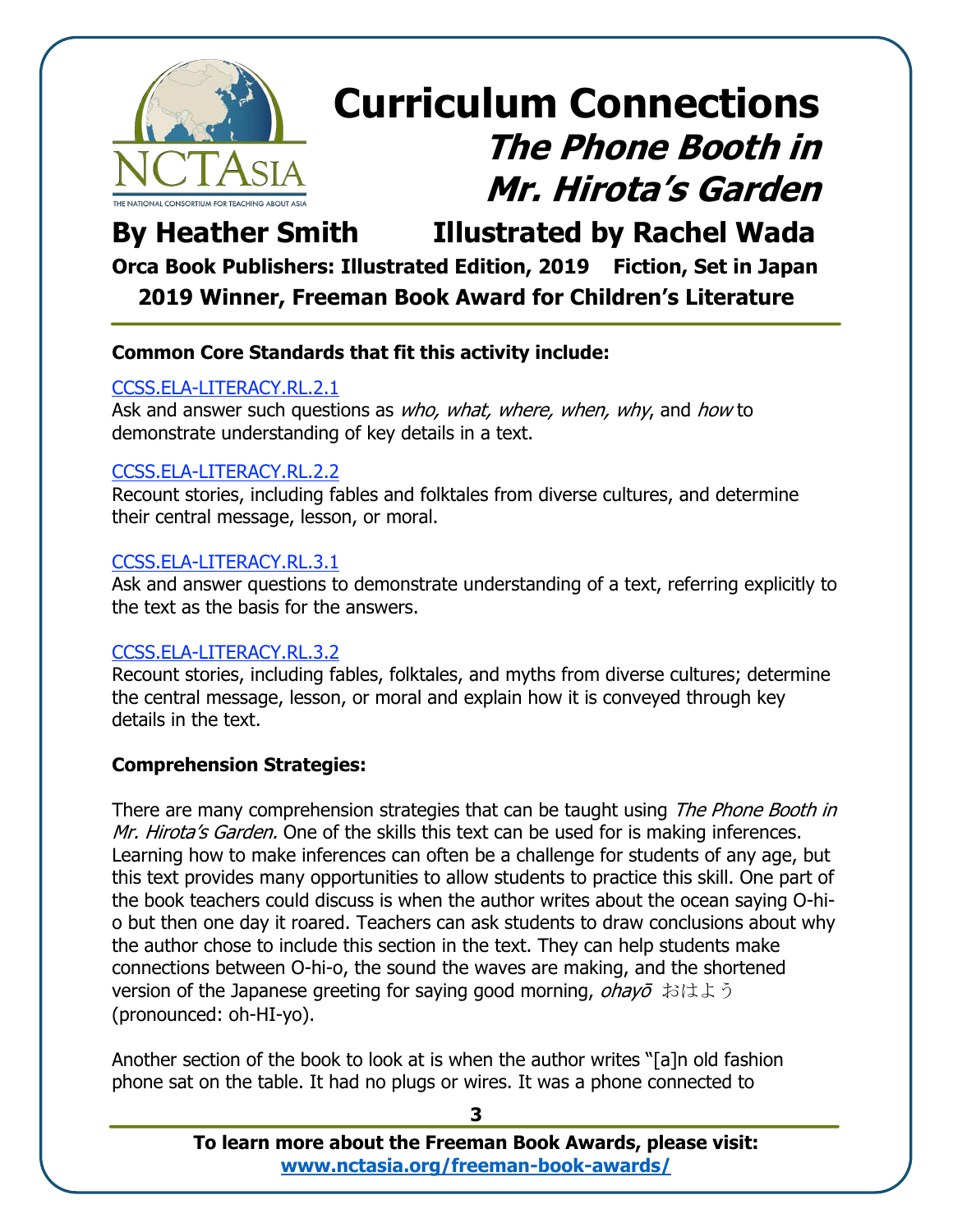

### **By Heather Smith Illustrated by Rachel Wada**

**Orca Book Publishers: Illustrated Edition, 2019 Fiction, Set in Japan 2019 Winner, Freeman Book Award for Children's Literature**

#### **Common Core Standards that fit this activity include:**

#### [CCSS.ELA-LITERACY.RL.2.1](http://www.corestandards.org/ELA-Literacy/RL/2/1/)

Ask and answer such questions as who, what, where, when, why, and how to demonstrate understanding of key details in a text.

#### [CCSS.ELA-LITERACY.RL.2.2](http://www.corestandards.org/ELA-Literacy/RL/2/2/)

Recount stories, including fables and folktales from diverse cultures, and determine their central message, lesson, or moral.

#### [CCSS.ELA-LITERACY.RL.3.1](http://www.corestandards.org/ELA-Literacy/RL/3/1/)

Ask and answer questions to demonstrate understanding of a text, referring explicitly to the text as the basis for the answers.

#### [CCSS.ELA-LITERACY.RL.3.2](http://www.corestandards.org/ELA-Literacy/RL/3/2/)

Recount stories, including fables, folktales, and myths from diverse cultures; determine the central message, lesson, or moral and explain how it is conveyed through key details in the text.

#### **Comprehension Strategies:**

There are many comprehension strategies that can be taught using *The Phone Booth in* Mr. Hirota's Garden. One of the skills this text can be used for is making inferences. Learning how to make inferences can often be a challenge for students of any age, but this text provides many opportunities to allow students to practice this skill. One part of the book teachers could discuss is when the author writes about the ocean saying O-hio but then one day it roared. Teachers can ask students to draw conclusions about why the author chose to include this section in the text. They can help students make connections between O-hi-o, the sound the waves are making, and the shortened version of the Japanese greeting for saying good morning, *ohayo* おはよう (pronounced: oh-HI-yo).

Another section of the book to look at is when the author writes "[a]n old fashion phone sat on the table. It had no plugs or wires. It was a phone connected to

> **To learn more about the Freeman Book Awards, please visit: [www.nctasia.org/freeman-book-awards/](https://nctasia.org/freeman-book-awards/)**

#### **3**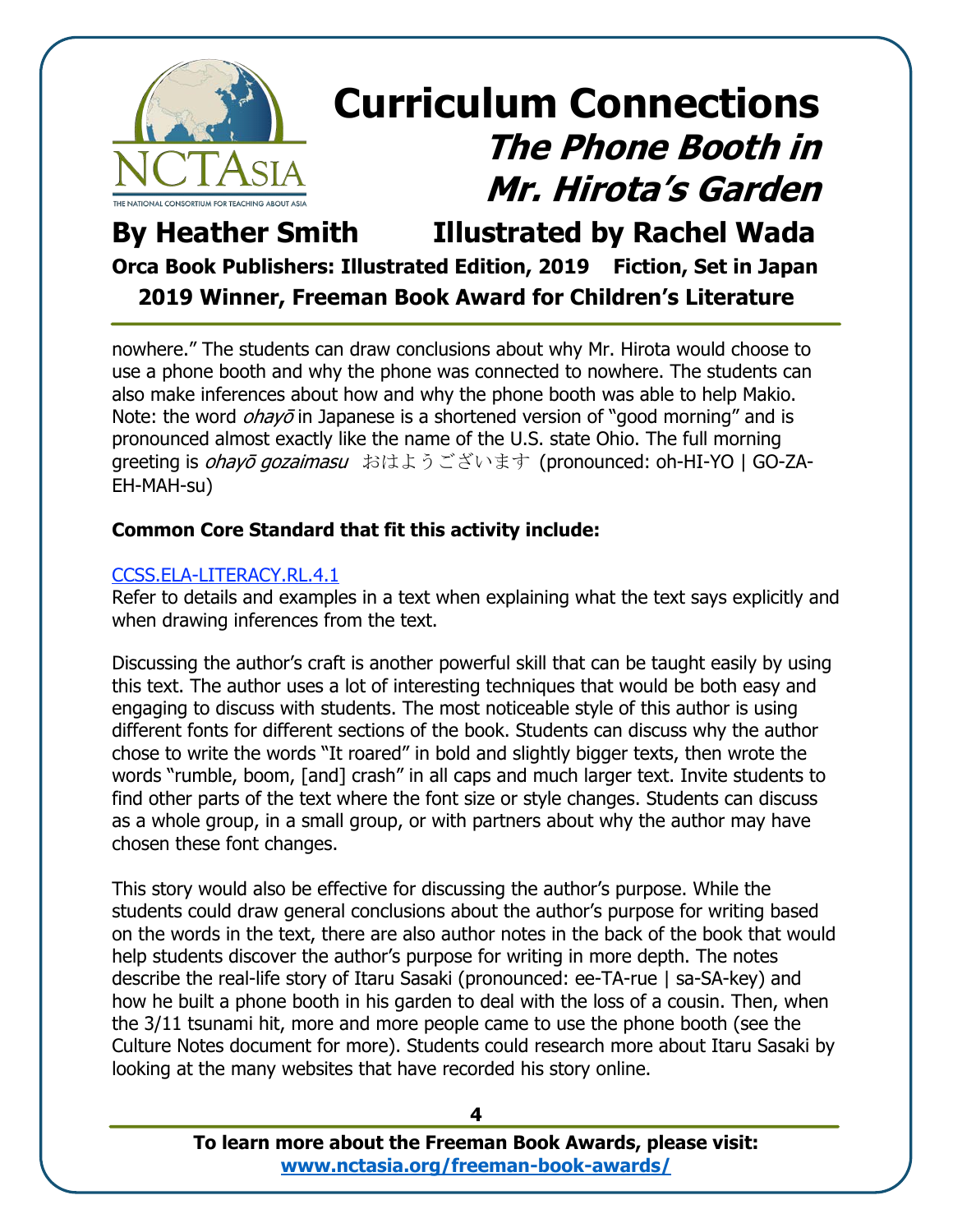

### **By Heather Smith Illustrated by Rachel Wada Orca Book Publishers: Illustrated Edition, 2019 Fiction, Set in Japan 2019 Winner, Freeman Book Award for Children's Literature**

nowhere." The students can draw conclusions about why Mr. Hirota would choose to use a phone booth and why the phone was connected to nowhere. The students can also make inferences about how and why the phone booth was able to help Makio. Note: the word  $\omega h a y \bar{\omega}$  in Japanese is a shortened version of "good morning" and is pronounced almost exactly like the name of the U.S. state Ohio. The full morning greeting is *ohayō gozaimasu* おはようございます (pronounced: oh-HI-YO | GO-ZA-EH-MAH-su)

#### **Common Core Standard that fit this activity include:**

#### [CCSS.ELA-LITERACY.RL.4.1](http://www.corestandards.org/ELA-Literacy/RL/4/1/)

Refer to details and examples in a text when explaining what the text says explicitly and when drawing inferences from the text.

Discussing the author's craft is another powerful skill that can be taught easily by using this text. The author uses a lot of interesting techniques that would be both easy and engaging to discuss with students. The most noticeable style of this author is using different fonts for different sections of the book. Students can discuss why the author chose to write the words "It roared" in bold and slightly bigger texts, then wrote the words "rumble, boom, [and] crash" in all caps and much larger text. Invite students to find other parts of the text where the font size or style changes. Students can discuss as a whole group, in a small group, or with partners about why the author may have chosen these font changes.

This story would also be effective for discussing the author's purpose. While the students could draw general conclusions about the author's purpose for writing based on the words in the text, there are also author notes in the back of the book that would help students discover the author's purpose for writing in more depth. The notes describe the real-life story of Itaru Sasaki (pronounced: ee-TA-rue | sa-SA-key) and how he built a phone booth in his garden to deal with the loss of a cousin. Then, when the 3/11 tsunami hit, more and more people came to use the phone booth (see the Culture Notes document for more). Students could research more about Itaru Sasaki by looking at the many websites that have recorded his story online.

**4**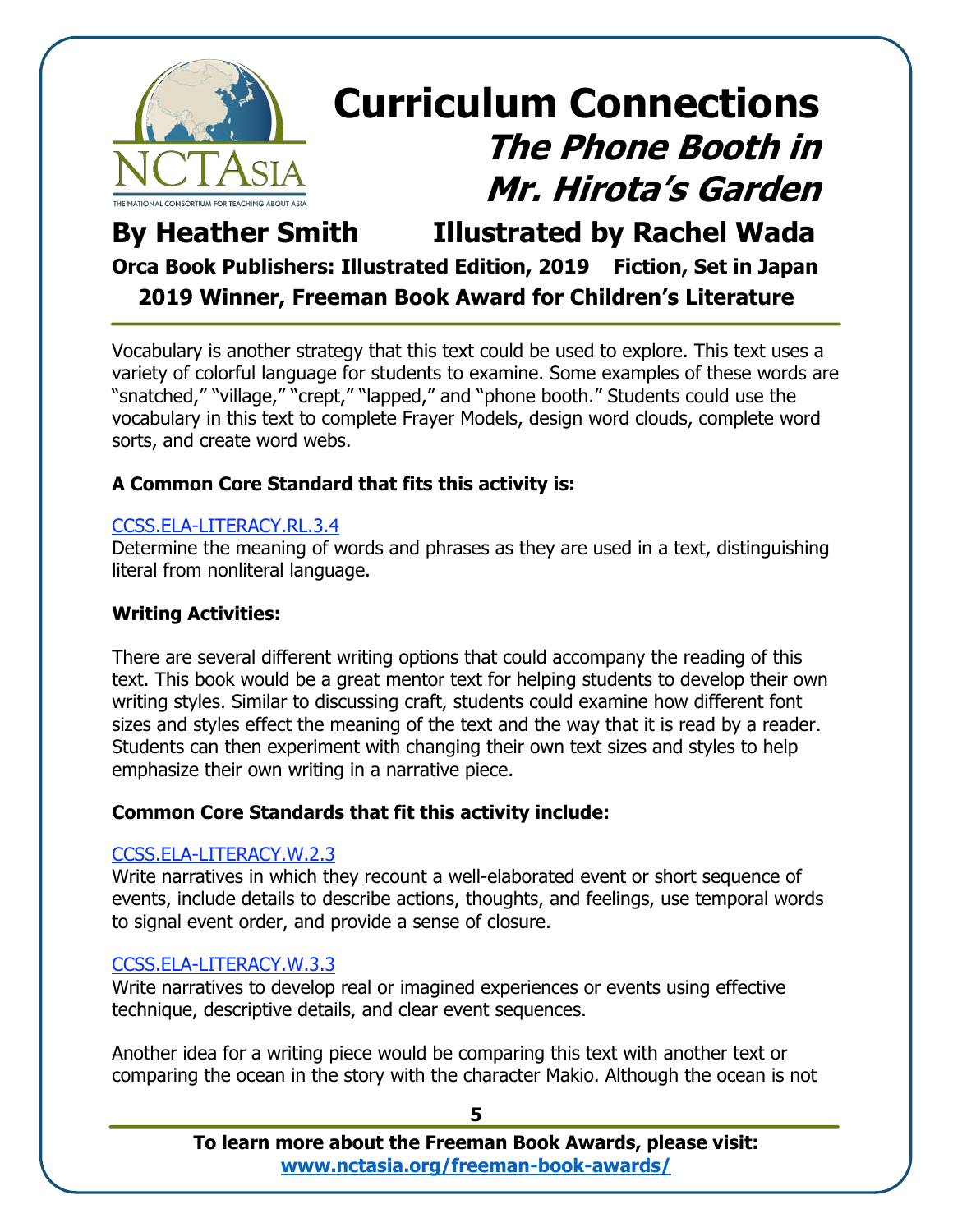

### **By Heather Smith Illustrated by Rachel Wada Orca Book Publishers: Illustrated Edition, 2019 Fiction, Set in Japan 2019 Winner, Freeman Book Award for Children's Literature**

Vocabulary is another strategy that this text could be used to explore. This text uses a variety of colorful language for students to examine. Some examples of these words are "snatched," "village," "crept," "lapped," and "phone booth." Students could use the vocabulary in this text to complete Frayer Models, design word clouds, complete word sorts, and create word webs.

### **A Common Core Standard that fits this activity is:**

### [CCSS.ELA-LITERACY.RL.3.4](http://www.corestandards.org/ELA-Literacy/RL/3/4/)

Determine the meaning of words and phrases as they are used in a text, distinguishing literal from nonliteral language.

#### **Writing Activities:**

There are several different writing options that could accompany the reading of this text. This book would be a great mentor text for helping students to develop their own writing styles. Similar to discussing craft, students could examine how different font sizes and styles effect the meaning of the text and the way that it is read by a reader. Students can then experiment with changing their own text sizes and styles to help emphasize their own writing in a narrative piece.

#### **Common Core Standards that fit this activity include:**

#### [CCSS.ELA-LITERACY.W.2.3](http://www.corestandards.org/ELA-Literacy/W/2/3/)

Write narratives in which they recount a well-elaborated event or short sequence of events, include details to describe actions, thoughts, and feelings, use temporal words to signal event order, and provide a sense of closure.

#### [CCSS.ELA-LITERACY.W.3.3](http://www.corestandards.org/ELA-Literacy/W/3/3/)

Write narratives to develop real or imagined experiences or events using effective technique, descriptive details, and clear event sequences.

Another idea for a writing piece would be comparing this text with another text or comparing the ocean in the story with the character Makio. Although the ocean is not

**5**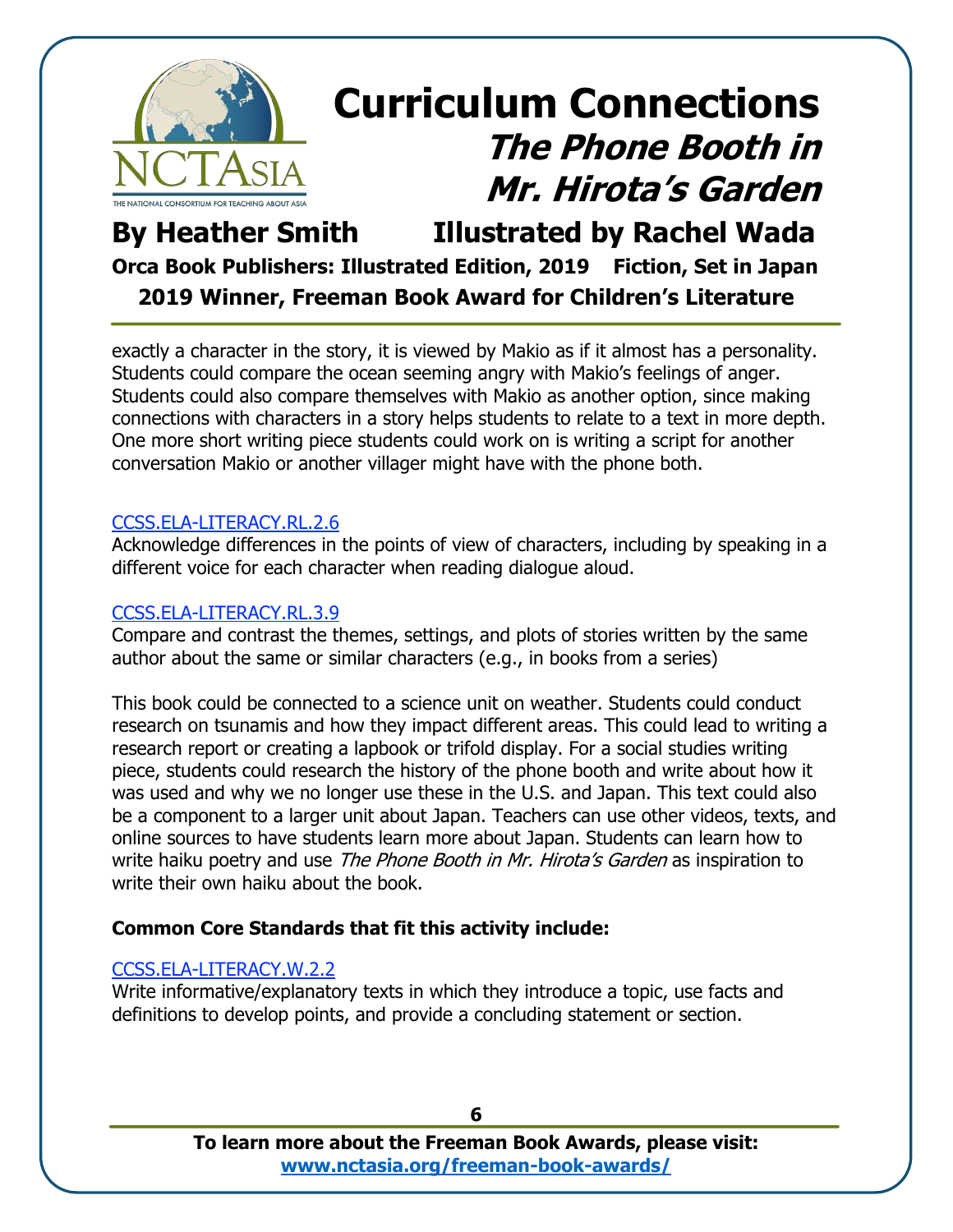

### **By Heather Smith Illustrated by Rachel Wada Orca Book Publishers: Illustrated Edition, 2019 Fiction, Set in Japan 2019 Winner, Freeman Book Award for Children's Literature**

exactly a character in the story, it is viewed by Makio as if it almost has a personality. Students could compare the ocean seeming angry with Makio's feelings of anger. Students could also compare themselves with Makio as another option, since making connections with characters in a story helps students to relate to a text in more depth. One more short writing piece students could work on is writing a script for another conversation Makio or another villager might have with the phone both.

#### [CCSS.ELA-LITERACY.RL.2.6](http://www.corestandards.org/ELA-Literacy/RL/2/6/)

Acknowledge differences in the points of view of characters, including by speaking in a different voice for each character when reading dialogue aloud.

#### [CCSS.ELA-LITERACY.RL.3.9](http://www.corestandards.org/ELA-Literacy/RL/3/9/)

Compare and contrast the themes, settings, and plots of stories written by the same author about the same or similar characters (e.g., in books from a series)

This book could be connected to a science unit on weather. Students could conduct research on tsunamis and how they impact different areas. This could lead to writing a research report or creating a lapbook or trifold display. For a social studies writing piece, students could research the history of the phone booth and write about how it was used and why we no longer use these in the U.S. and Japan. This text could also be a component to a larger unit about Japan. Teachers can use other videos, texts, and online sources to have students learn more about Japan. Students can learn how to write haiku poetry and use *The Phone Booth in Mr. Hirota's Garden* as inspiration to write their own haiku about the book.

#### **Common Core Standards that fit this activity include:**

#### [CCSS.ELA-LITERACY.W.2.2](http://www.corestandards.org/ELA-Literacy/W/2/2/)

Write informative/explanatory texts in which they introduce a topic, use facts and definitions to develop points, and provide a concluding statement or section.